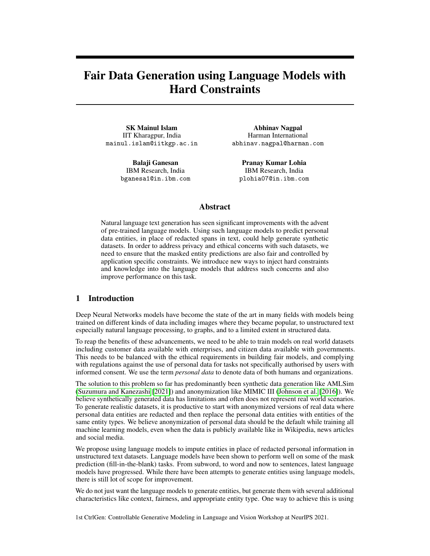# Fair Data Generation using Language Models with Hard Constraints

SK Mainul Islam IIT Kharagpur, India mainul.islam@iitkgp.ac.in

> Balaji Ganesan IBM Research, India bganesa1@in.ibm.com

Abhinav Nagpal Harman International abhinav.nagpal@harman.com

Pranay Kumar Lohia IBM Research, India plohia07@in.ibm.com

# Abstract

Natural language text generation has seen significant improvements with the advent of pre-trained language models. Using such language models to predict personal data entities, in place of redacted spans in text, could help generate synthetic datasets. In order to address privacy and ethical concerns with such datasets, we need to ensure that the masked entity predictions are also fair and controlled by application specific constraints. We introduce new ways to inject hard constraints and knowledge into the language models that address such concerns and also improve performance on this task.

# 1 Introduction

Deep Neural Networks models have become the state of the art in many fields with models being trained on different kinds of data including images where they became popular, to unstructured text especially natural language processing, to graphs, and to a limited extent in structured data.

To reap the benefits of these advancements, we need to be able to train models on real world datasets including customer data available with enterprises, and citizen data available with governments. This needs to be balanced with the ethical requirements in building fair models, and complying with regulations against the use of personal data for tasks not specifically authorised by users with informed consent. We use the term *personal data* to denote data of both humans and organizations.

The solution to this problem so far has predominantly been synthetic data generation like AMLSim (Suzumura and Kanezashi [2021]) and anonymization like MIMIC III (Johnson et al. [2016]). We believe synthetically generated data has limitations and often does not represent real world scenarios. To generate realistic datasets, it is productive to start with anonymized versions of real data where personal data entities are redacted and then replace the personal data entities with entities of the same entity types. We believe anonymization of personal data should be the default while training all machine learning models, even when the data is publicly available like in Wikipedia, news articles and social media.

We propose using language models to impute entities in place of redacted personal information in unstructured text datasets. Language models have been shown to perform well on some of the mask prediction (fill-in-the-blank) tasks. From subword, to word and now to sentences, latest language models have progressed. While there have been attempts to generate entities using language models, there is still lot of scope for improvement.

We do not just want the language models to generate entities, but generate them with several additional characteristics like context, fairness, and appropriate entity type. One way to achieve this is using

1st CtrlGen: Controllable Generative Modeling in Language and Vision Workshop at NeurIPS 2021.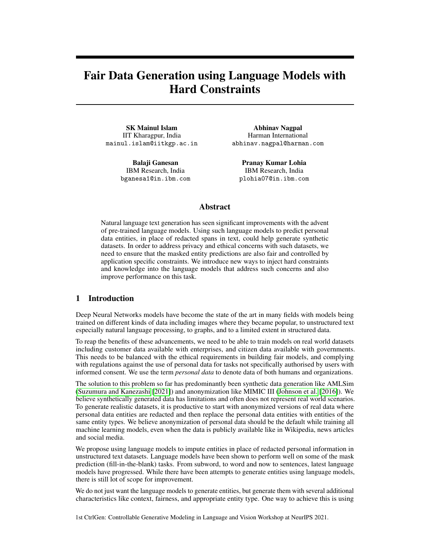

Figure 1: We generate datasets from redacted text, using language models with constraints

constraints. Introducing constraints on the mask prediction task or in general controlled language generation has been an active area of research. Sha [2020] introduced a gradient and lexical approach to introduce constraints. Khalifa et al. [2020] proposed a distributional approach to controlled text generation. However external constraints like fairness, commonsense and temporality have proven to be harder.

One approach to generate fair data from unstructured text, and then to populate structured or graph data, would be to simply discard generated tokens and entities which skew the distribution. However, this method has limitations in domains where the language models have not been trained well and requires several counters to be maintained outside of the data generation solution. There have been few attempts to make the language models aware of entities Shahbazi et al. [2019] and to guide counterfactual generation to desired distributions.

In this work, we introduce new ways to constrain the output of a language model for the mask prediction task, so that we can ensure diversity in the generated entities by default, and also to introduce application specific controls to make the predictions fairer. As in the desiderata mentioned earlier, we optimize the mask prediction for 3 factors namely entity type, diversity, and context.

We then introduce a way to incorporate knowledge embeddings that complement language embeddings. As the name suggests, knowledge embeddings fill the knowledge gaps in the language models and also make it easier to incorporate knowledge that would otherwise require substantial amount of training. For example,  $\leq$  person, alma mater, institution $\geq$  could be a relationship that we wish to introduce in our model. This can be accomplished far more easily by incorporating knowledge embeddings whereas language models will need several instances of this relationship to learn the same.

# 2 Related Work

POINTER Huang et al. [2020] proposed conditional text generation by replacing nouns in the given condition lexicons with some protected entities. Sha [2020] presented an entity aware language model called Entity-Elmo. Zhang et al. [2020] introduces a hard-constrained based text generation using insertion transformer Stern et al. [2019] in a non auto-regressive manner.

Huang et al. [2020] quantifies and de-biases the induced bias in the pre-trained language models on sentiment classification task. Conditional lexicons are expanded with protected entities using language models (GPT-2) and then evaluated sentiment distribution with respect to those entities to quantify the bias involved in the pre-trained language models and perturbed examples are coupled with original expanded sentence in the proposed model to de-bias the language model by minimizing the fairness loss (cosine similarity of representations of the given two inputs obtained from language model). Feder et al. [2020] analysed counterfactual language models for generating counterfactual example generation and measuring bias in the language models.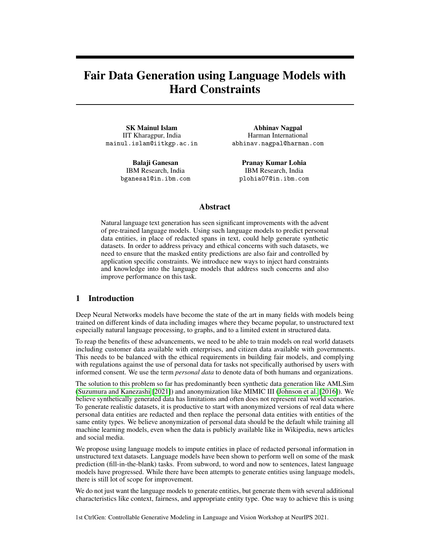Quteineh et al. [2020] proposed a novel data augmentation approach using Monte Carlo Tree Search (MCTS) as the optimization strategy and incorporating entropy as one of the optimization criteria in their active learning solution.

Evaluating the output of NLG models has received quite a bit of attention in recent times. Ribeiro et al. [2020] introduced checklists to evaluate NLP models in general. Tevet and Berant [2020] proposed a score to measure diversity, while Agarwal et al. [2021] introduced an unfairness score.

Zhang et al. [2021]. CoLAKE Sun et al. [2020] introduced a word knowledge embedding which is jointly learnt instead of learning the knowledge embeddings independent of the language task. We have modeled our implementation around the same approach and compare our implementation with CoLAKE. Li and Liang [2021], Yu et al. [2020], He et al. [2019], Khalifa et al. [2020], Keskar et al. [2019] proposed a method for controllable text generation using what they call as control codes.

GraphMask Schlichtkrull et al. [2021], GNN Explainer Ying et al. [2019], PGM-Explainer [Vu and Thai, 2020] are some of the recent efforts in explaining GNN model predictions. We use the GraphMask method since their work was on NLP tasks like our task here. The original paper uses GraphMask for explainability in question answering and semantic role labelling.

# 3 Our Approach



Figure 2: Mask prediction for fair data generation

There have been number of approaches to introduce constraints on the language model output. Our requirement is to restrict mask predictions to personal data entities and to make the data sufficiently diverse and controllable for fairness. Sha [2020] proposed an approach where the tokens predicted by the language models could be restricted to a list of values.

We can follow a similar approach by using a list of protected variables (of personal data entities) which can be predicted for a mask. However in order to generate values that are sufficiently diverse, we treat this as a collective learning task.

We introduce losses for enforcing constraints on language model based generation: Cross entropy loss for generating entities of same type, KL divergence loss for diverse candidate entity generation, cross entropy loss for downstream task specific fair entity substitution. Consider a given input  $S = (w_1, ..., w_i, ..., w_n)$ , with corresponding entity type label  $E = (e_1, ..., e_i, ..., e_n)$ , the goal of this task is to replace a personal entity  $w_i$  of type  $e_i$  in S with another entity  $\hat{w}_i$  of type  $e_i$ .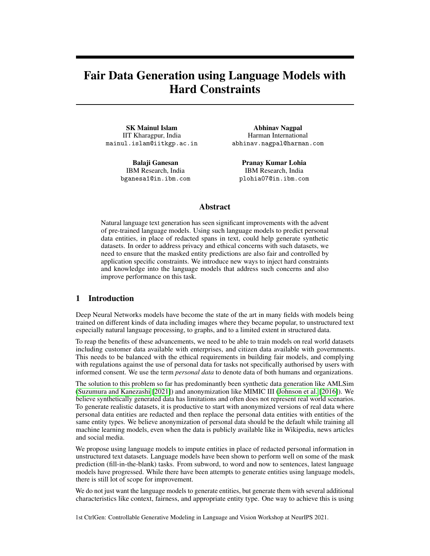#### 3.1 Entity type factor

Non auto-regressive language models like BERT Devlin et al. [2019] estimate the probability distribution of a word w, given a context as  $p(w_i/w_{\leq i}, w_{i+1:n}) \supseteq \mathbb{R}^{|V|}$ , where  $jVj$  is the number of (sub)words in the language model vocabulary. To enforce the entity type constraint, we introduce entity sequence labeling task and the loss corresponding for that task as:

$$
L_{Seq} = \sum_{i=1}^{n} \sum_{e_c} \log p(e_c/w_i), e_c \ 2 \text{ } \mathit{fe}_1, ..., e_n \mathit{g}
$$

#### 3.2 Diversity factor

To generate a diverse candidate entity for replacement, we leverage the idea of maximizing the entropy of word prediction probability Madaan et al. [2021], which is similar to minimize the KL divergence between the word prediction probability  $p(w_i/w_{\leq i}, w_{i+1:n})$  and and an uniform distribution u, using the lemma  $H[w_i] = \log jVj$  KL( $\mu$ jju), where  $w_i$  is estimated by distribution  $p(w_i/w_{\leq i}, w_{i+1:n})$ with mean as  $\mu$ , and H is the Shannon Entropy of  $w_i$ , and  $jVj$  is the number of values  $w_i$  can take on from the vocabulary. Hence the KL divergence loss

 $L_{Diversity} = KL(p(w_i/w_{< i}, w_{i+1:n})/jv), v \text{ } Uniform(1//E_i)$ 

where  $E_i$  is the set of entities with type  $e_i$ .

## 3.3 Debiasing factor

To enforce the fair entity substitution, we leverage the idea of debiasing language model on downstream tasks Liang et al. [2020]. We utilize the bias representation  $h_{bias}$  estimated from gender words and remove that representation from the sentence representation  $h_{sent}$  of the instances for the downstream task. We optimize this debiasing scheme using the task specific loss,

 $L_{Task} = CrossEntropy(p(\hat{y}|h_{sent} - h_{bias}), y)$ 

Finally, we optimize all the losses in an end-to-end setting as following:

$$
\min L_{Total} = L_{MLM} + \alpha_1 L_{Seq} + \alpha_2 L_{Diversity} + \alpha_3 L_{Task}
$$

where  $L_{MLM}$  is the Masked Language Modeling loss to estimate  $p(w_i)$ , and  $\alpha_1, \alpha_2, \alpha_3$  are hyperparameters.

#### Knowledge Embeddings

We use the methods described in Vannur et al. [2021] to populate a property graph of people. The details of the populated graph are as shown in Table 1.

|                       | <b>IMDB</b> Reviews | <b>Jigsaw</b> |
|-----------------------|---------------------|---------------|
| Documents             | 50000               | 1999516       |
| Sentences             | 328331              | 3460461       |
| Entities              | 19099               | 58986         |
| Relations             | 2331                | 11161         |
| <b>Entity Types</b>   | 23                  | 27            |
| <b>Relation Types</b> |                     |               |

Table 1: Statistics on the property graphs generated

Once we have populated a knowledge graph, there are a number of methods by which we could incorporate the knowledge embeddings for mask prediction.

We began by using the knowledge graph to generate prior probabilities for the candidate personal data entities. For any given entity, we generated a list of similar entities using the GNN embeddings,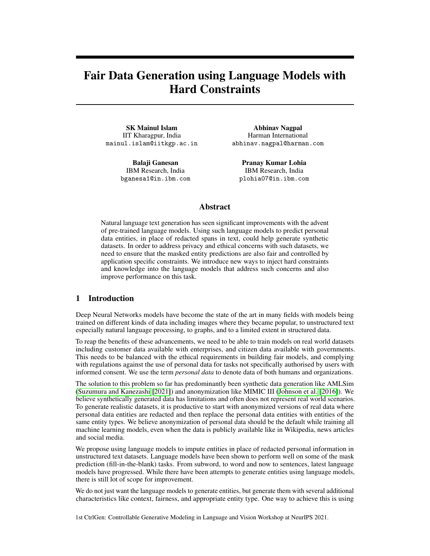and used them to generate the diversity factor as discussed in Section 3.2. We can also generate knowledge embeddings and use it along with the language embeddings like done in Sun et al. [2020]. We can also generate sentence embeddings for the sentiment classification task described in Section 3 and use them along with the language embeddings. We leave these two experiments for a future version of this work.

## 4 Experiments

We perform our experiments on the Jigsaw toxicity dataset and the IMDB reviews dataset. An example sentence 3 and the different personal data entities generated are shown in Table 2.

#### 4.1 Experimental Setup

We conduct our experiments on a single machine with 16 GB CPU memory and 16 GB GPU memory for most of the data pre-processing and knowledge graph embedding. We use a shared TPU instance for pre-training the language model on our datasets, though these can easily be performed on the CPU/GPU with more time. We use PyTorch framework (Paszke et al. [2019]) for most of the tasks. We use the popular BERT language model and then pre-train on our datasets namely IMDB Reviews and Jigsaw.

## 4.2 Results

The performance of our Fair Data Generation (FDG) model and the baselines measured using perplexity are as shown in Table 3. We calculate perplexity as the exponential of average negative log-likelihood of a sequence. For a tokenized sequence  $S = (w_i, ..., w_n)$ , the perplexity is calculated as:

$$
PPL(S) = exp\left(\frac{1}{n}\sum_{i}^{n} \log p(w_i/w_{< i}, w_{i+1:n})\right)
$$

We observe that the perplexity of our proposed FDG model is worse than the baseline BERT model. The reason behind this worse performance with respect to perplexity is the trade-off between the context association and bias association in the language model. Consider the example from Liang et al. [2021].

> *The man performing surgery is a doctor* bias association *The man performing surgery is a doctor* context association

Here, the language model predicts "*doctor*", when the input context is "*The man performing surgery is a*", which is a correct prediction according to the context "*surgery*", but the output is biased with respect to the association between "*man*" and "*doctor*". A pre-trained language model trained on a large (probably biased) corpus like BERT focuses more on context association and the debiased language model like our proposed model FDG focuses more on removal of bias association, and hence generates less associated words with respect to the word "*man*" and as a result, achieves poor perplexity score compared to the previous pre-trained BERT model.

Table 2 show the generated data by masking entities in an example sentence. The generated entities have the same number of tokens as in the original entity.

Bruce Campbell, the British actor went to Hollywood and enthralled audiences!

Figure 3: Example input to the Fair Data Generation model with masks highlighted

Given our goal to use this fair data generation model to produce personal data entities, measuring the ability of the model to produce a diverse and large number of entities is important. So we compare the number of entities in the original datasets as shown in Figures 4a and 4b. The number of mask predictions is an hyperparameter (10 in this example run). But the generated sentences are annotated with a PII extraction pipeline which is agnostic to the original and generated text.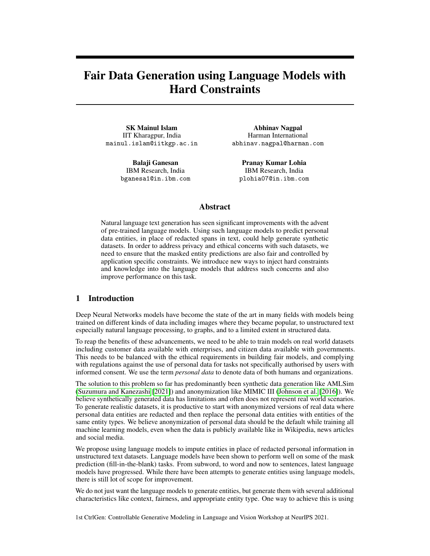| <b>Entity</b>         | <b>Classification</b> | <b>Mask Prediction</b>                                |
|-----------------------|-----------------------|-------------------------------------------------------|
| Actor                 | job_title             | Director, Actor, Write, Actress, Filmmaker, Producer, |
|                       |                       | Soldier, Detective, General, Gangster                 |
| Hollywood             | location              | Hollywood, War, America, Vietnam, France, Germany,    |
|                       |                       | Fever, London, ##Ani, ##Tan                           |
| <b>British</b>        | nationality           | American, Hollywood, British, ##Sie, Irish, Indian,   |
|                       |                       | ##N, ##Wan, Born, Oz                                  |
| <b>Bruce Campbell</b> | name name x           | John John ., David Davids, Michael . Er, Robert On,   |
|                       |                       | James Leey, George Jack, Jack Mc, Richard Jamese,     |
|                       |                       | William Robertt, Peter George Lee                     |

Table 2: Entities predicted by Fair Data Generation using Language Models

| Model       | <b>Dataset</b> | Perplexity# |
|-------------|----------------|-------------|
| <b>LSTM</b> | Jigsaw         | 1632.45     |
|             | <b>IMDB</b>    | 1265.80     |
| <b>BERT</b> | Jigsaw         | 323.17      |
|             | <b>IMDB</b>    | 223.15      |
| <b>FDG</b>  | Jigsaw         | 434.15      |
|             | <b>IMDB</b>    | 352.85      |

Table 3: Performance of our FDG model on the mask prediction task

# 5 Testing

In this section, we present results from three kinds of tests that we performed on the output text, that includes the predicted masks. We test for behaviour - the generated text should be as natural as ground truth data, fairness - the predicted entities should not be biased against minority communities in the real world, and adversarial - should be able to withstand known adversarial attacks.

## 5.1 Behavioural Testing

Following the Checklists idea proposed in Ribeiro et al. [2020], we perform a behavioural test by using the output of our Fair Data Generation (FDG) model output as input to a fine grained entity classification model described in Nagpal et al. [2022]. We begin by classifying all the entities in the raw IMDB and Jigsaw datasets.



Figure 4: Entity types in 5000 IMDB and Jigsaw samples, and corresponding entities generated by our FDG model

Next, we report the performance on a random sample of 5000 entities, that we used as input in Section 4. We are observing if the performance of a downstream task like fine grained entity classification is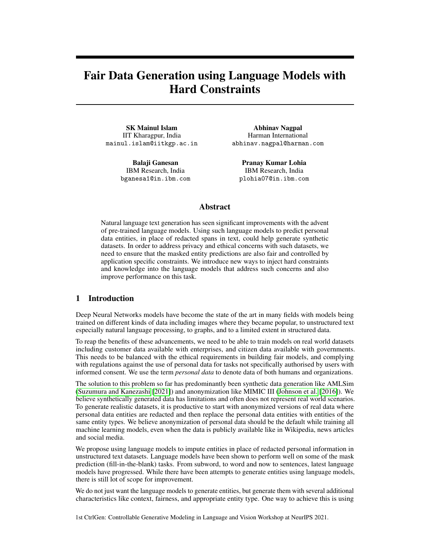| Dataset         | Acc.  | Macro F1 | Micro F1 |
|-----------------|-------|----------|----------|
| <b>IMDB</b>     | 0.979 | 0.768    | 0.992    |
| <b>IMDB</b> Gen | 0.962 | 0.80     | 0.983    |
| Jigsaw          | 0.943 | 0.830    | 0.969    |
| Jigsaw Gen      | 0.942 | 0.832    | 0.967    |

Table 4: Results for BERTEC model for behevioral testing on the original and generated datasets

similar both in the original dataset and the dataset where entities have been replaced by our FDG model. As shown in Table 4, there is no noticeable difference in performance.

## 5.2 Fairness Testing

Fairness can be measured as group fairness and individual fairness (Lohia et al. [2019]). To evaluate group fairness in the generated data, we use disparate impact as described in Bellamy et al. [2019]. For individual fairness, we generate *counterfactuals* by perturbing sensitive tokens present in original texts and check whether predictions change or not. We use the *unfairness score* defined in Agarwal et al. [2021] to evaluate individual fairness. A lower percentage ( $\langle 10\%$ ) of original samples having unfairness makes the model individually fair.

| <b>Dataset</b> |          | Attribute minority class count majority class |        |                  | count | DI     | label  |
|----------------|----------|-----------------------------------------------|--------|------------------|-------|--------|--------|
| <b>IMDB</b>    | religion | other                                         | 51     | Christianity     | 62    | 0.8226 | fair   |
|                | gender   | F                                             | 1945.  | $\mathbf{M}$     | 7555  | 0.2500 | biased |
|                | religion | other                                         |        | 826 Christianity | 1032  | 0.8004 | fair   |
| Jigsaw         | gender   | E                                             | 4646 M |                  | 21522 | 0.2159 | biased |

Table 5: Group fairness evaluation on the original IMDB and Jigsaw datasets

In Table 5, we present the disparate impact results using the 80% rule on the original dataset. Using this rule, we identify the majority class based on the frequency of occurrence of different values in each protected attribute. If the ratio of other values count over the majority class count is above 0.8, then the dataset is not biased on that protected attribute. We observe that both the datasets are fair on the religion attribute but biased on the gender attribute.

| Dataset     | Attribute | Unfairness $(\% )$ | Label |
|-------------|-----------|--------------------|-------|
|             | gender    | 2.5                | fair  |
| <b>IMDB</b> | race      | 0                  | fair  |
|             | religion  | 2.94               | fair  |
|             | gender    | 5.3                | fair  |
| Jigsaw      | race      | 4.54               | fair  |
|             | religion  | 2.08               | fair  |

Table 6: Individual fairness evaluation on the FDG model output.

In Table 6, we present the *unfairness score* in % associated with sensitive attributes like *gender*, *race*, and *religion* in two downstream tasks, sentiment Analysis in IMDB dataset, and toxicity classification in Jigsaw Dataset using our proposed FDG model. We observe that our FDG model generates fair output wrt all the protected attributes considered.

#### 5.3 Adversarial Testing

For checking the FDG model against adversarial attacks and to evaluate its robustness, we use the methods in TextAttack Morris et al. [2020]. It performs certain transformations on the dataset with respect to certain constraints, producing new samples. An example adversarial change is as shown in Figure 5.

The transformations were only applied if they met the constraints such as max words perturbed limit of 5 words, disallowing the modification of words which have already been modified and Bert Score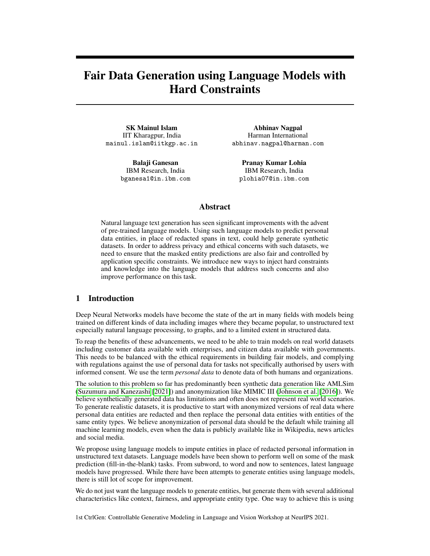## The actors play wonderfully, especially Kenneth Branagh himself. The actors play criminals, especially Kenneth Branagh.

Figure 5: Example adversarial change to the input.

Zhang et al. [2019] less than 0.8. As shown in Table 7, there is only a small difference between the original and adversarial sample results. This could be an indication that our FDG model is unaffected by the adversarial changes we introduced in the input.

| Model               | Acc.  | <b>Macro F1</b> | Micro F1 |
|---------------------|-------|-----------------|----------|
| <b>IMDB Adv</b>     | 0.969 | 0.763           | 0.984    |
| <b>IMDB</b> Adv Gen | 0.949 | 0.754           | 0.974    |
| Jigsaw Adv          | 0.951 | 0.842           | 0.976    |
| Jigsaw Adv Gen      | 0.946 | 0.839           | 0.971    |

Table 7: BERTEC entity classification results on adversarial samples and FDG output on the same.

# 6 Conclusion

In this work, we introduced a solution for generating fair datasets from unstructured data where the entities predicted are personal data entities. Our evaluation and analysis using behavioral, adversarial and fairness testing shows that the generated datasets closely resemble the original datasets, while improving on fairness metrics. There is a trade-off between the language model performance and bias removal, which will continue to motivate our future work on modeling a fair language model comparable with state-of-the-art pre-trained language models like BERT and GPT.

## References

- Chirag Agarwal, Himabindu Lakkaraju, and Marinka Zitnik. Towards a unified framework for fair and stable graph representation learning. *arXiv preprint arXiv:2102.13186*, 2021.
- Rachel KE Bellamy, Kuntal Dey, Michael Hind, Samuel C Hoffman, Stephanie Houde, Kalapriya Kannan, Pranay Lohia, Jacquelyn Martino, Sameep Mehta, Aleksandra Mojsilovic, et al. Ai ´ fairness 360: An extensible toolkit for detecting and mitigating algorithmic bias. *IBM Journal of Research and Development*, 63(4/5):4–1, 2019.
- Jacob Devlin, Ming-Wei Chang, Kenton Lee, and Kristina Toutanova. BERT: pre-training of deep bidirectional transformers for language understanding. In Jill Burstein, Christy Doran, and Thamar Solorio, editors, *Proceedings of the 2019 Conference of the North American Chapter of the Association for Computational Linguistics: Human Language Technologies, NAACL-HLT 2019*, pages 4171–4186. Association for Computational Linguistics, 2019. doi: 10.18653/v1/n19-1423. URL <https://doi.org/10.18653/v1/n19-1423>.
- Amir Feder, Nadav Oved, Uri Shalit, and Roi Reichart. Causalm: Causal model explanation through counterfactual language models. *CoRR*, abs/2005.13407, 2020.
- Bin He, Di Zhou, Jinghui Xiao, Qun Liu, Nicholas Jing Yuan, Tong Xu, et al. Integrating graph contextualized knowledge into pre-trained language models. *arXiv preprint arXiv:1912.00147*, 2019.
- Po-Sen Huang, Huan Zhang, Ray Jiang, Robert Stanforth, Johannes Welbl, Jack Rae, Vishal Maini, Dani Yogatama, and Pushmeet Kohli. Reducing sentiment bias in language models via counterfactual evaluation. In Trevor Cohn, Yulan He, and Yang Liu, editors, *Proceedings of the 2020 Conference on Empirical Methods in Natural Language Processing: Findings*, pages 65–83. Association for Computational Linguistics, 2020.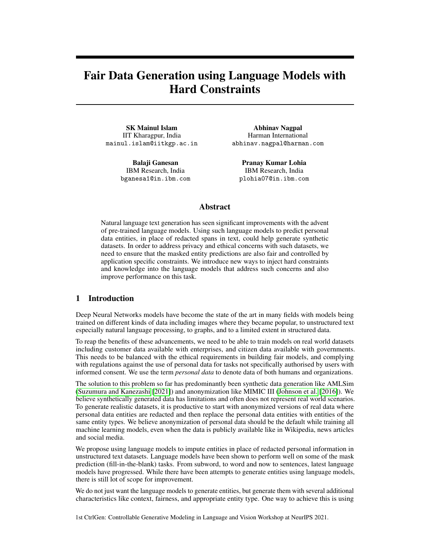- Alistair EW Johnson, Tom J Pollard, Lu Shen, H Lehman Li-Wei, Mengling Feng, Mohammad Ghassemi, Benjamin Moody, Peter Szolovits, Leo Anthony Celi, and Roger G Mark. Mimic-iii, a freely accessible critical care database. *Scientific data*, 3(1):1–9, 2016.
- Nitish Shirish Keskar, Bryan McCann, Lav R Varshney, Caiming Xiong, and Richard Socher. Ctrl: A conditional transformer language model for controllable generation. *arXiv preprint arXiv:1909.05858*, 2019.
- Muhammad Khalifa, Hady Elsahar, and Marc Dymetman. A distributional approach to controlled text generation. *arXiv preprint arXiv:2012.11635*, 2020.
- Xiang Lisa Li and Percy Liang. Prefix-tuning: Optimizing continuous prompts for generation. *arXiv preprint arXiv:2101.00190*, 2021.
- Paul Pu Liang, Irene Mengze Li, Emily Zheng, Yao Chong Lim, Ruslan Salakhutdinov, and Louis-Philippe Morency. Towards debiasing sentence representations. In Dan Jurafsky, Joyce Chai, Natalie Schluter, and Joel R. Tetreault, editors, *Proceedings of the 58th Annual Meeting of the Association for Computational Linguistics, ACL 2020, Online, July 5-10, 2020*, pages 5502–5515, 2020. doi: 10.18653/v1/2020.acl-main.488. URL [https://doi.org/10.18653/v1/2020.](https://doi.org/10.18653/v1/2020.acl-main.488) [acl-main.488](https://doi.org/10.18653/v1/2020.acl-main.488).
- Paul Pu Liang, Chiyu Wu, Louis-Philippe Morency, and Ruslan Salakhutdinov. Towards understanding and mitigating social biases in language models. In *International Conference on Machine Learning*, pages 6565–6576. PMLR, 2021.
- Pranay K Lohia, Karthikeyan Natesan Ramamurthy, Manish Bhide, Diptikalyan Saha, Kush R Varshney, and Ruchir Puri. Bias mitigation post-processing for individual and group fairness. In *Icassp 2019-2019 ieee international conference on acoustics, speech and signal processing (icassp)*, pages 2847–2851. IEEE, 2019.
- Nishtha Madaan, Inkit Padhi, Naveen Panwar, and Diptikalyan Saha. Generate your counterfactuals: Towards controlled counterfactual generation for text. In *Thirty-Fifth AAAI Conference on Artificial Intelligence, AAAI*, pages 13516–13524, 2021. URL [https://ojs.aaai.org/index.php/](https://ojs.aaai.org/index.php/AAAI/article/view/17594) [AAAI/article/view/17594](https://ojs.aaai.org/index.php/AAAI/article/view/17594).
- John X. Morris, Eli Lifland, Jin Yong Yoo, Jake Grigsby, Di Jin, and Yanjun Qi. Textattack: A framework for adversarial attacks, data augmentation, and adversarial training in nlp, 2020.
- Abhinav Nagpal, Riddhiman Dasgupta, and Balaji Ganesan. Fine grained classification of personal data entities using language models. In *Proceedings of the ACM India Joint International Conference on Data Science and Management of Data*, 2022.
- Adam Paszke, Sam Gross, Francisco Massa, Adam Lerer, James Bradbury, Gregory Chanan, Trevor Killeen, Zeming Lin, Natalia Gimelshein, Luca Antiga, Alban Desmaison, Andreas Kopf, Edward Yang, Zachary DeVito, Martin Raison, Alykhan Tejani, Sasank Chilamkurthy, Benoit Steiner, Lu Fang, Junjie Bai, and Soumith Chintala. Pytorch: An imperative style, high-performance deep learning library. In H. Wallach, H. Larochelle, A. Beygelzimer, F. d'Alché-Buc, E. Fox, and R. Garnett, editors, *Advances in Neural Information Processing Systems 32*, pages 8024–8035. Curran Associates, Inc., 2019. URL [http://papers.neurips.cc/paper/](http://papers.neurips.cc/paper/9015-pytorch-an-imperative-style-high-performance-deep-learning-library.pdf) [9015-pytorch-an-imperative-style-high-performance-deep-learning-library.](http://papers.neurips.cc/paper/9015-pytorch-an-imperative-style-high-performance-deep-learning-library.pdf) [pdf](http://papers.neurips.cc/paper/9015-pytorch-an-imperative-style-high-performance-deep-learning-library.pdf).
- Husam Quteineh, Spyridon Samothrakis, and Richard Sutcliffe. Textual data augmentation for efficient active learning on tiny datasets. In *Proceedings of the 2020 Conference on Empirical Methods in Natural Language Processing (EMNLP)*, pages 7400–7410, Online, November 2020. Association for Computational Linguistics.
- Marco Tulio Ribeiro, Tongshuang Wu, Carlos Guestrin, and Sameer Singh. Beyond accuracy: Behavioral testing of nlp models with checklist, 2020.
- Michael Sejr Schlichtkrull, Nicola De Cao, and Ivan Titov. Interpreting graph neural networks for nlp with differentiable edge masking, 2021.